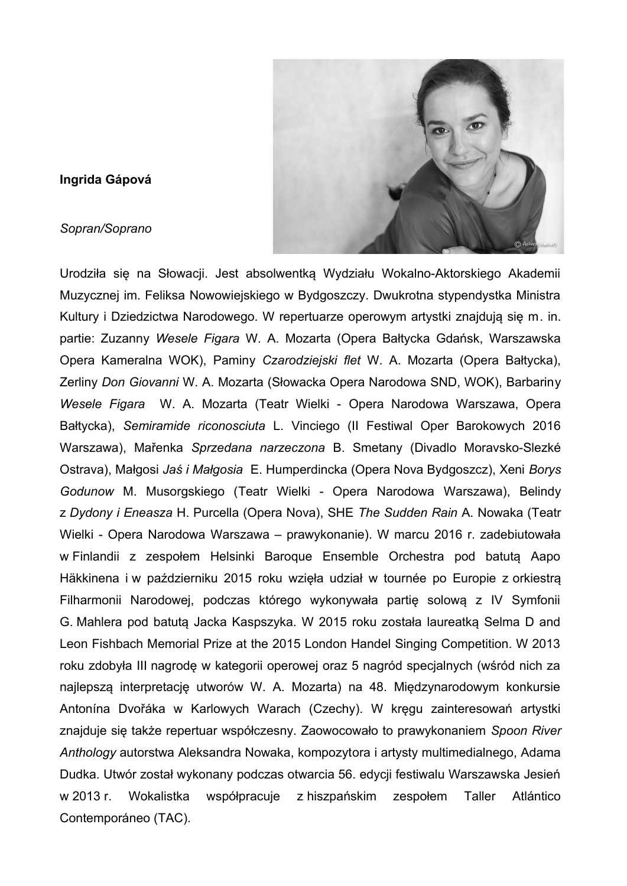## **Ingrida Gápová**

## *Sopran/Soprano*



Urodziła się na Słowacji. Jest absolwentką Wydziału Wokalno-Aktorskiego Akademii Muzycznej im. Feliksa Nowowiejskiego w Bydgoszczy. Dwukrotna stypendystka Ministra Kultury i Dziedzictwa Narodowego. W repertuarze operowym artystki znajdują się m. in. partie: Zuzanny *Wesele Figara* W. A. Mozarta (Opera Bałtycka Gdańsk, Warszawska Opera Kameralna WOK), Paminy *Czarodziejski flet* W. A. Mozarta (Opera Bałtycka), Zerliny *Don Giovanni* W. A. Mozarta (Słowacka Opera Narodowa SND, WOK), Barbariny *Wesele Figara* W. A. Mozarta (Teatr Wielki - Opera Narodowa Warszawa, Opera Bałtycka), *Semiramide riconosciuta* L. Vinciego (II Festiwal Oper Barokowych 2016 Warszawa), Mařenka *Sprzedana narzeczona* B. Smetany (Divadlo Moravsko-Slezké Ostrava), Małgosi *Jaś i Małgosia* E. Humperdincka (Opera Nova Bydgoszcz), Xeni *Borys Godunow* M. Musorgskiego (Teatr Wielki - Opera Narodowa Warszawa), Belindy z *Dydony i Eneasza* H. Purcella (Opera Nova), SHE *The Sudden Rain* A. Nowaka (Teatr Wielki - Opera Narodowa Warszawa – prawykonanie). W marcu 2016 r. zadebiutowała w Finlandii z zespołem Helsinki Baroque Ensemble Orchestra pod batutą Aapo Häkkinena i w październiku 2015 roku wzięła udział w tournée po Europie z orkiestrą Filharmonii Narodowej, podczas którego wykonywała partię solową z IV Symfonii G. Mahlera pod batutą Jacka Kaspszyka. W 2015 roku została laureatką Selma D and Leon Fishbach Memorial Prize at the 2015 London Handel Singing Competition. W 2013 roku zdobyła III nagrodę w kategorii operowej oraz 5 nagród specjalnych (wśród nich za najlepszą interpretację utworów W. A. Mozarta) na 48. Międzynarodowym konkursie Antonína Dvořáka w Karlowych Warach (Czechy). W kręgu zainteresowań artystki znajduje się także repertuar współczesny. Zaowocowało to prawykonaniem *Spoon River Anthology* autorstwa Aleksandra Nowaka, kompozytora i artysty multimedialnego, Adama Dudka. Utwór został wykonany podczas otwarcia 56. edycji festiwalu Warszawska Jesień w 2013 r. Wokalistka współpracuje z hiszpańskim zespołem Taller Atlántico Contemporáneo (TAC).